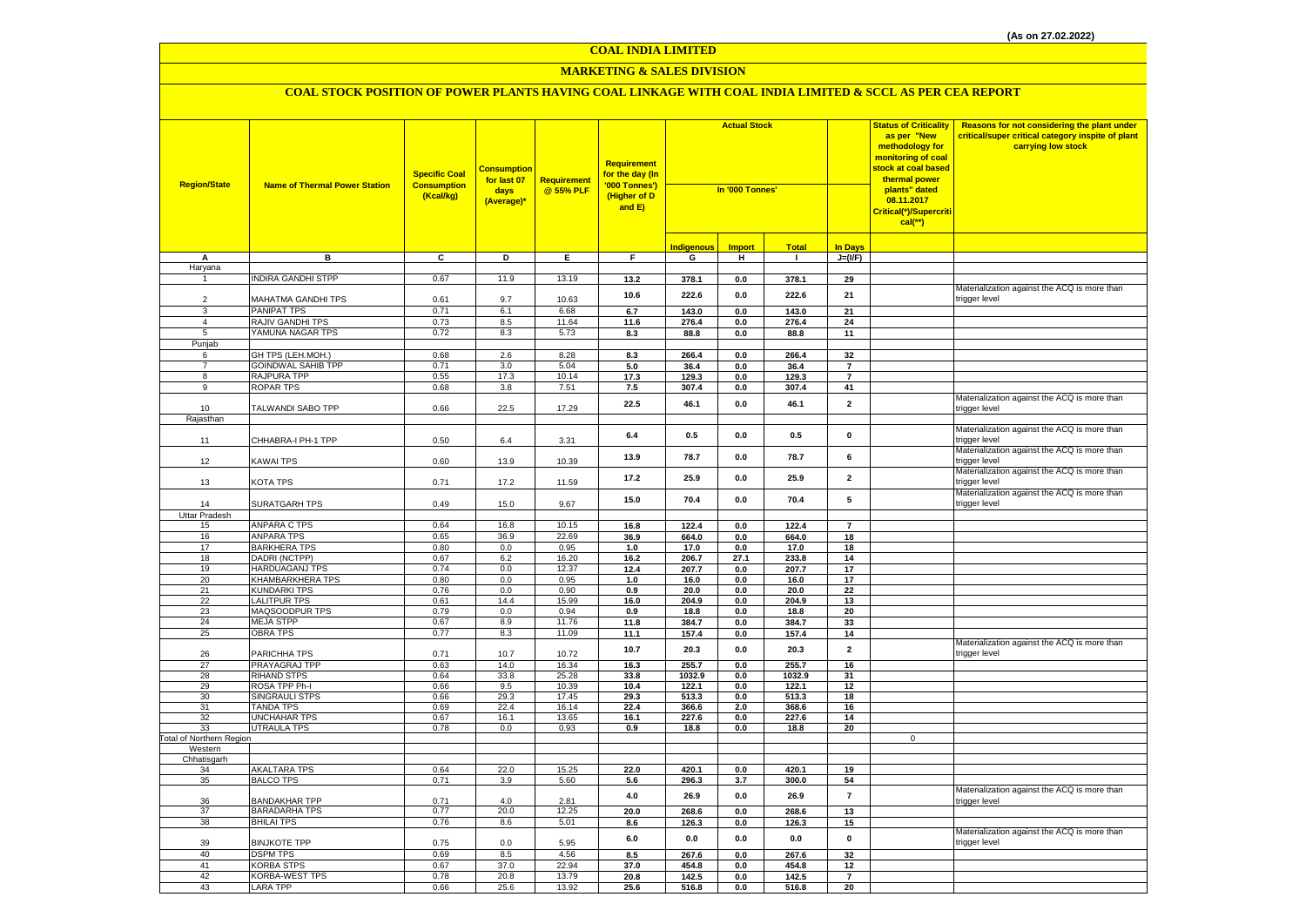#### **MARKETING & SALES DIVISION**

| <b>Region/State</b>             | <b>Name of Thermal Power Station</b>      | <b>Specific Coal</b><br><b>Consumption</b><br>(Kcal/kg) | <mark>Consumption</mark><br>for last 07<br>days<br>(Average)* | <b>Requirement</b><br>@ 55% PLF | <b>Requirement</b><br>for the day (In<br>'000 Tonnes')<br>(Higher of D<br>and E) | <b>Actual Stock</b><br>In '000 Tonnes' |                |                | <b>Status of Criticality</b><br>as per "New<br>methodology for<br>monitoring of coal<br>stock at coal based<br>thermal power<br>plants" dated<br>08.11.2017<br>Critical(*)/Supercriti<br>$cal$ (**) | Reasons for not considering the plant under<br>critical/super critical category inspite of plant<br>carrying low stock |                                                               |
|---------------------------------|-------------------------------------------|---------------------------------------------------------|---------------------------------------------------------------|---------------------------------|----------------------------------------------------------------------------------|----------------------------------------|----------------|----------------|-----------------------------------------------------------------------------------------------------------------------------------------------------------------------------------------------------|------------------------------------------------------------------------------------------------------------------------|---------------------------------------------------------------|
|                                 |                                           |                                                         |                                                               |                                 |                                                                                  | Indigenous                             | <b>Import</b>  | <b>Total</b>   | <b>In Days</b>                                                                                                                                                                                      |                                                                                                                        |                                                               |
| А                               | в                                         | C                                                       | D                                                             | Ε.                              | F.                                                                               | G                                      | н.             | $\mathbf{I}$   | $J=(VF)$                                                                                                                                                                                            |                                                                                                                        |                                                               |
| Haryana                         |                                           |                                                         |                                                               |                                 |                                                                                  |                                        |                |                |                                                                                                                                                                                                     |                                                                                                                        |                                                               |
| $\overline{1}$                  | INDIRA GANDHI STPP                        | 0.67                                                    | 11.9                                                          | 13.19                           | 13.2                                                                             | 378.1                                  | 0.0            | 378.1          | 29                                                                                                                                                                                                  |                                                                                                                        |                                                               |
|                                 |                                           |                                                         |                                                               |                                 | 10.6                                                                             | 222.6                                  | 0.0            | 222.6          | 21                                                                                                                                                                                                  |                                                                                                                        | Materialization against the ACQ is more than                  |
| $\overline{2}$                  | MAHATMA GANDHI TPS                        | 0.61<br>0.71                                            | 9.7                                                           | 10.63                           |                                                                                  |                                        |                |                |                                                                                                                                                                                                     |                                                                                                                        | trigger level                                                 |
| 3                               | <b>PANIPAT TPS</b><br>RAJIV GANDHI TPS    | 0.73                                                    | 6.1<br>8.5                                                    | 6.68<br>11.64                   | 6.7                                                                              | 143.0                                  | 0.0            | 143.0          | $\overline{21}$                                                                                                                                                                                     |                                                                                                                        |                                                               |
| 4<br>5                          | YAMUNA NAGAR TPS                          | 0.72                                                    | 8.3                                                           | 5.73                            | 11.6<br>8.3                                                                      | 276.4<br>88.8                          | 0.0<br>0.0     | 276.4<br>88.8  | 24<br>11                                                                                                                                                                                            |                                                                                                                        |                                                               |
| Punjab                          |                                           |                                                         |                                                               |                                 |                                                                                  |                                        |                |                |                                                                                                                                                                                                     |                                                                                                                        |                                                               |
| 6                               | GH TPS (LEH.MOH.)                         | 0.68                                                    | 2.6                                                           | 8.28                            | 8.3                                                                              | 266.4                                  | 0.0            | 266.4          | 32                                                                                                                                                                                                  |                                                                                                                        |                                                               |
| $\overline{7}$                  | <b>GOINDWAL SAHIB TPP</b>                 | 0.71                                                    | 3.0                                                           | 5.04                            | 5.0                                                                              | 36.4                                   | 0.0            | 36.4           | $\overline{7}$                                                                                                                                                                                      |                                                                                                                        |                                                               |
| 8                               | RAJPURA TPP                               | 0.55                                                    | 17.3                                                          | 10.14                           | 17.3                                                                             | 129.3                                  | 0.0            | 129.3          | $\overline{7}$                                                                                                                                                                                      |                                                                                                                        |                                                               |
| 9                               | <b>ROPAR TPS</b>                          | 0.68                                                    | 3.8                                                           | 7.51                            | 7.5                                                                              | 307.4                                  | 0.0            | 307.4          | 41                                                                                                                                                                                                  |                                                                                                                        |                                                               |
| 10                              | TALWANDI SABO TPP                         | 0.66                                                    | 22.5                                                          | 17.29                           | 22.5                                                                             | 46.1                                   | 0.0            | 46.1           | $\overline{2}$                                                                                                                                                                                      |                                                                                                                        | Materialization against the ACQ is more than<br>trigger level |
| Rajasthan                       |                                           |                                                         |                                                               |                                 |                                                                                  |                                        |                |                |                                                                                                                                                                                                     |                                                                                                                        |                                                               |
| 11                              | CHHABRA-I PH-1 TPP                        | 0.50                                                    | 6.4                                                           | 3.31                            | 6.4                                                                              | 0.5                                    | 0.0            | 0.5            | $\mathbf 0$                                                                                                                                                                                         |                                                                                                                        | Materialization against the ACQ is more than<br>trigger level |
| 12                              | <b>KAWAI TPS</b>                          | 0.60                                                    | 13.9                                                          | 10.39                           | 13.9                                                                             | 78.7                                   | 0.0            | 78.7           | 6                                                                                                                                                                                                   |                                                                                                                        | Materialization against the ACQ is more than<br>trigger level |
| 13                              | KOTA TPS                                  | 0.71                                                    | 17.2                                                          | 11.59                           | 17.2                                                                             | 25.9                                   | 0.0            | 25.9           | $\overline{2}$                                                                                                                                                                                      |                                                                                                                        | Materialization against the ACQ is more than<br>trigger level |
| 14                              | SURATGARH TPS                             | 0.49                                                    | 15.0                                                          | 9.67                            | 15.0                                                                             | 70.4                                   | 0.0            | 70.4           | 5                                                                                                                                                                                                   |                                                                                                                        | Materialization against the ACQ is more than<br>trigger level |
| Uttar Pradesh                   | <b>ANPARA C TPS</b>                       | 0.64                                                    | 16.8                                                          | 10.15                           | 16.8                                                                             | 122.4                                  | 0.0            | 122.4          | $\overline{7}$                                                                                                                                                                                      |                                                                                                                        |                                                               |
| 15<br>16                        | <b>ANPARA TPS</b>                         | 0.65                                                    | 36.9                                                          | 22.69                           | 36.9                                                                             | 664.0                                  | 0.0            | 664.0          | 18                                                                                                                                                                                                  |                                                                                                                        |                                                               |
| 17                              | <b>BARKHERA TPS</b>                       | 0.80                                                    | 0.0                                                           | 0.95                            | 1.0                                                                              | 17.0                                   | 0.0            | 17.0           | 18                                                                                                                                                                                                  |                                                                                                                        |                                                               |
| 18                              | DADRI (NCTPP)                             | 0.67                                                    | 6.2                                                           | 16.20                           | 16.2                                                                             | 206.7                                  | 27.1           | 233.8          | 14                                                                                                                                                                                                  |                                                                                                                        |                                                               |
| 19                              | HARDUAGANJ TPS                            | 0.74                                                    | 0.0                                                           | 12.37                           | 12.4                                                                             | 207.7                                  | 0.0            | 207.7          | 17                                                                                                                                                                                                  |                                                                                                                        |                                                               |
| 20                              | KHAMBARKHERA TPS                          | 0.80                                                    | 0.0                                                           | 0.95                            | 1.0                                                                              | 16.0                                   | 0.0            | 16.0           | 17                                                                                                                                                                                                  |                                                                                                                        |                                                               |
| 21                              | <b>KUNDARKI TPS</b>                       | 0.76                                                    | 0.0                                                           | 0.90                            | 0.9                                                                              | 20.0                                   | 0.0            | 20.0           | 22                                                                                                                                                                                                  |                                                                                                                        |                                                               |
| 22                              | <b>LALITPUR TPS</b>                       | 0.61                                                    | 14.4                                                          | 15.99                           | 16.0                                                                             | 204.9                                  | 0.0            | 204.9          | 13                                                                                                                                                                                                  |                                                                                                                        |                                                               |
| 23                              | MAQSOODPUR TPS                            | 0.79                                                    | 0.0                                                           | 0.94                            | 0.9                                                                              | 18.8                                   | 0.0            | 18.8           | 20                                                                                                                                                                                                  |                                                                                                                        |                                                               |
| 24                              | <b>MEJA STPP</b>                          | 0.67                                                    | 8.9                                                           | 11.76                           | 11.8                                                                             | 384.7                                  | 0.0            | 384.7          | 33                                                                                                                                                                                                  |                                                                                                                        |                                                               |
| 25                              | <b>OBRA TPS</b>                           | 0.77                                                    | 8.3                                                           | 11.09                           | 11.1                                                                             | 157.4                                  | 0.0            | 157.4          | 14                                                                                                                                                                                                  |                                                                                                                        | Materialization against the ACQ is more than                  |
| 26                              | PARICHHA TPS                              | 0.71                                                    | 10.7                                                          | 10.72                           | 10.7                                                                             | 20.3                                   | 0.0            | 20.3           | $\overline{2}$                                                                                                                                                                                      |                                                                                                                        | trigger level                                                 |
| 27                              | PRAYAGRAJ TPP                             | 0.63                                                    | 14.0                                                          | 16.34                           | 16.3                                                                             | 255.7                                  | 0.0            | 255.7          | 16                                                                                                                                                                                                  |                                                                                                                        |                                                               |
| 28                              | <b>RIHAND STPS</b>                        | 0.64                                                    | 33.8                                                          | 25.28                           | 33.8                                                                             | 1032.9                                 | 0.0            | 1032.9         | 31                                                                                                                                                                                                  |                                                                                                                        |                                                               |
| 29                              | ROSA TPP Ph-I                             | 0.66                                                    | 9.5                                                           | 10.39                           | 10.4                                                                             | 122.1                                  | 0.0            | 122.1          | 12                                                                                                                                                                                                  |                                                                                                                        |                                                               |
| 30<br>31                        | <b>SINGRAULI STPS</b><br><b>TANDA TPS</b> | 0.66<br>0.69                                            | 29.3                                                          | 17.45<br>16.14                  | 29.3                                                                             | 513.3<br>366.6                         | 0.0<br>2.0     | 513.3          | 18<br>16                                                                                                                                                                                            |                                                                                                                        |                                                               |
| 32                              | <b>UNCHAHAR TPS</b>                       | 0.67                                                    | 22.4<br>16.1                                                  | 13.65                           | 22.4<br>16.1                                                                     | 227.6                                  | 0.0            | 368.6<br>227.6 | 14                                                                                                                                                                                                  |                                                                                                                        |                                                               |
| 33                              | <b>UTRAULA TPS</b>                        | 0.78                                                    | 0.0                                                           | 0.93                            | 0.9                                                                              | 18.8                                   | 0.0            | 18.8           | 20                                                                                                                                                                                                  |                                                                                                                        |                                                               |
| <b>Total of Northern Region</b> |                                           |                                                         |                                                               |                                 |                                                                                  |                                        |                |                |                                                                                                                                                                                                     | $\mathbf 0$                                                                                                            |                                                               |
| Western                         |                                           |                                                         |                                                               |                                 |                                                                                  |                                        |                |                |                                                                                                                                                                                                     |                                                                                                                        |                                                               |
| Chhatisgarh                     |                                           |                                                         |                                                               |                                 |                                                                                  |                                        |                |                |                                                                                                                                                                                                     |                                                                                                                        |                                                               |
| 34                              | <b>AKALTARA TPS</b>                       | 0.64                                                    | 22.0                                                          | 15.25                           | 22.0                                                                             | 420.1                                  | 0.0            | 420.1          | 19                                                                                                                                                                                                  |                                                                                                                        |                                                               |
| 35<br>36                        | <b>BALCO TPS</b><br><b>BANDAKHAR TPP</b>  | 0.71<br>0.71                                            | 3.9<br>4.0                                                    | 5.60<br>2.81                    | 5.6<br>$4.0\,$                                                                   | 296.3<br>26.9                          | 3.7<br>$0.0\,$ | 300.0<br>26.9  | 54<br>$\overline{7}$                                                                                                                                                                                |                                                                                                                        | Materialization against the ACQ is more than<br>trigger level |
| 37                              | <b>BARADARHA TPS</b>                      | 0.77                                                    | 20.0                                                          | 12.25                           | 20.0                                                                             | 268.6                                  | 0.0            | 268.6          | 13                                                                                                                                                                                                  |                                                                                                                        |                                                               |
| 38                              | <b>BHILAI TPS</b>                         | 0.76                                                    | 8.6                                                           | 5.01                            | 8.6                                                                              | 126.3                                  | 0.0            | 126.3          | 15                                                                                                                                                                                                  |                                                                                                                        |                                                               |
| 39                              | <b>BINJKOTE TPP</b>                       | 0.75                                                    | 0.0                                                           | 5.95                            | 6.0                                                                              | 0.0                                    | 0.0            | 0.0            | $\mathbf 0$                                                                                                                                                                                         |                                                                                                                        | Materialization against the ACQ is more than<br>trigger level |
| 40                              | <b>DSPM TPS</b>                           | 0.69                                                    | 8.5                                                           | 4.56                            | 8.5                                                                              | 267.6                                  | 0.0            | 267.6          | 32                                                                                                                                                                                                  |                                                                                                                        |                                                               |
| 41                              | <b>KORBA STPS</b>                         | 0.67                                                    | 37.0                                                          | 22.94                           | 37.0                                                                             | 454.8                                  | 0.0            | 454.8          | 12                                                                                                                                                                                                  |                                                                                                                        |                                                               |
| 42                              | <b>KORBA-WEST TPS</b>                     | 0.78                                                    | 20.8                                                          | 13.79                           | 20.8                                                                             | 142.5                                  | 0.0            | 142.5          | $\overline{\mathbf{z}}$                                                                                                                                                                             |                                                                                                                        |                                                               |
| 43                              | <b>LARA TPP</b>                           | 0.66                                                    | 25.6                                                          | 13.92                           | 25.6                                                                             | 516.8                                  | 0.0            | 516.8          | 20                                                                                                                                                                                                  |                                                                                                                        |                                                               |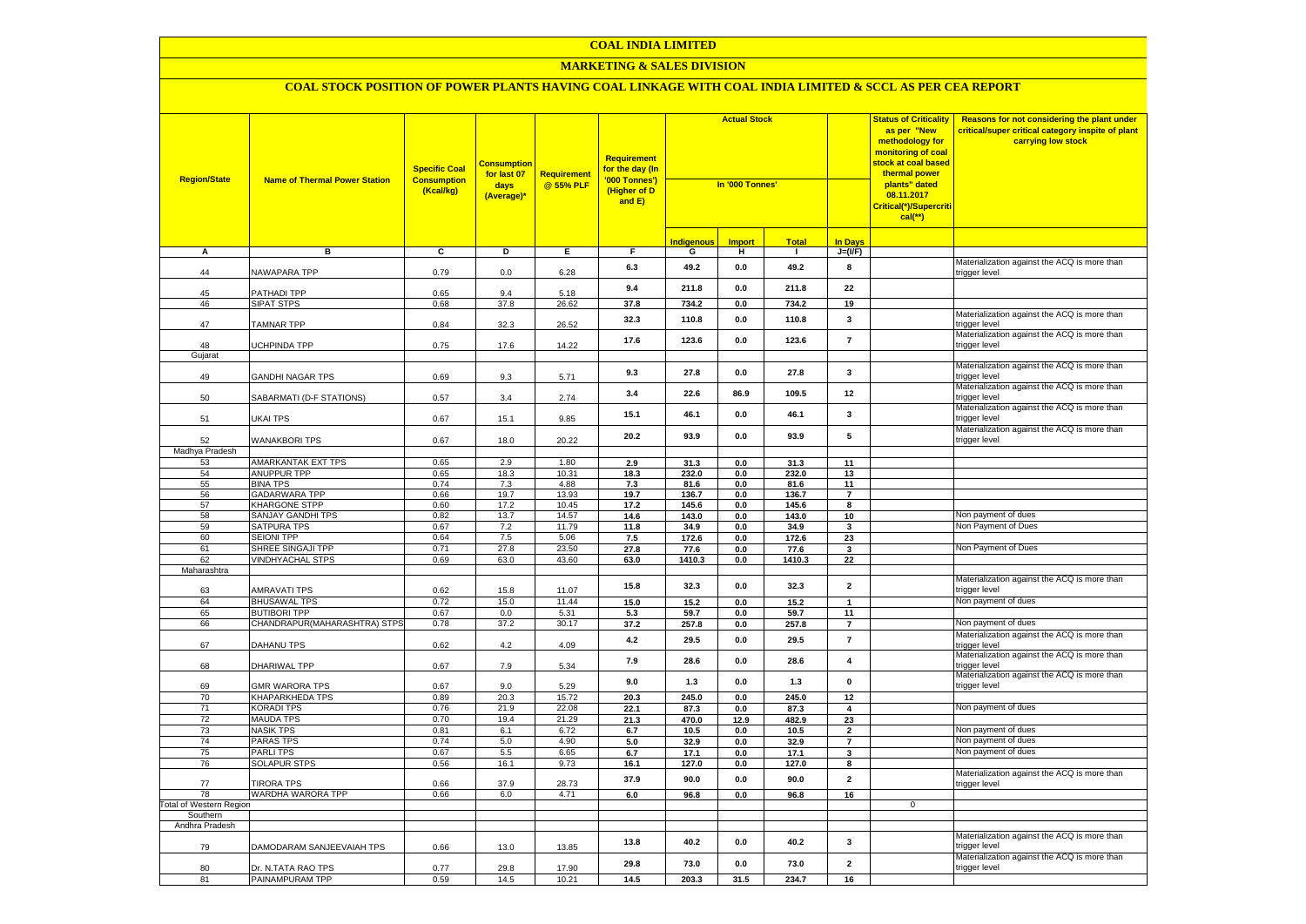#### **MARKETING & SALES DIVISION**

| <b>Region/State</b>            | <b>Name of Thermal Power Station</b>        | <b>Specific Coal</b><br><b>Consumption</b><br>(Kcal/kg) | <b>Consumption</b><br>for last 07<br>days<br>(Average)* | <b>Requirement</b><br>@ 55% PLF | Requirement<br>for the day (In<br>'000 Tonnes')<br>(Higher of D<br>and E) | <b>Actual Stock</b><br>In '000 Tonnes' |                |               |                         | <b>Status of Criticality</b><br>as per "New<br>methodology for<br>monitoring of coal<br><mark>stock at coal based</mark><br>thermal power<br>plants" dated<br>08.11.2017<br><mark>Critical(*)/Supercriti</mark><br>$cal$ (**) | Reasons for not considering the plant under<br>critical/super critical category inspite of plant<br>carrying low stock |
|--------------------------------|---------------------------------------------|---------------------------------------------------------|---------------------------------------------------------|---------------------------------|---------------------------------------------------------------------------|----------------------------------------|----------------|---------------|-------------------------|-------------------------------------------------------------------------------------------------------------------------------------------------------------------------------------------------------------------------------|------------------------------------------------------------------------------------------------------------------------|
|                                |                                             |                                                         |                                                         |                                 |                                                                           | <b>Indigenous</b>                      | <b>Import</b>  | <b>Total</b>  | <b>In Davs</b>          |                                                                                                                                                                                                                               |                                                                                                                        |
| А                              | в                                           | c                                                       | Þ                                                       | E                               | F                                                                         | G                                      | н              | $\mathbf{I}$  | $J=(VF)$                |                                                                                                                                                                                                                               |                                                                                                                        |
| 44                             | NAWAPARA TPP                                | 0.79                                                    | 0.0                                                     | 6.28                            | 6.3                                                                       | 49.2                                   | $\mathbf{0.0}$ | 49.2          | 8                       |                                                                                                                                                                                                                               | Materialization against the ACQ is more than<br>trigger level                                                          |
| 45                             | PATHADI TPP                                 | 0.65                                                    | 9.4                                                     | 5.18                            | 9.4                                                                       | 211.8                                  | 0.0            | 211.8         | 22                      |                                                                                                                                                                                                                               |                                                                                                                        |
| 46                             | <b>SIPAT STPS</b>                           | 0.68                                                    | 37.8                                                    | 26.62                           | 37.8                                                                      | 734.2                                  | 0.0            | 734.2         | 19                      |                                                                                                                                                                                                                               |                                                                                                                        |
| 47                             | <b>TAMNAR TPP</b>                           | 0.84                                                    | 32.3                                                    | 26.52                           | 32.3                                                                      | 110.8                                  | $\mathbf{0.0}$ | 110.8         | $\mathbf{3}$            |                                                                                                                                                                                                                               | Materialization against the ACQ is more than<br>trigger level<br>Materialization against the ACQ is more than          |
| 48<br>Gujarat                  | UCHPINDA TPP                                | 0.75                                                    | 17.6                                                    | 14.22                           | 17.6                                                                      | 123.6                                  | 0.0            | 123.6         | $\overline{7}$          |                                                                                                                                                                                                                               | trigger level                                                                                                          |
|                                |                                             |                                                         |                                                         |                                 |                                                                           |                                        |                |               |                         |                                                                                                                                                                                                                               | Materialization against the ACQ is more than                                                                           |
| 49                             | GANDHI NAGAR TPS                            | 0.69                                                    | 9.3                                                     | 5.71                            | 9.3                                                                       | 27.8                                   | $\mathbf{0.0}$ | 27.8          | $\mathbf{3}$            |                                                                                                                                                                                                                               | trigger level<br>Materialization against the ACQ is more than                                                          |
| 50                             | SABARMATI (D-F STATIONS)                    | 0.57                                                    | 3.4                                                     | 2.74                            | 3.4                                                                       | 22.6                                   | 86.9           | 109.5         | 12                      |                                                                                                                                                                                                                               | trigger level                                                                                                          |
| 51                             | UKAI TPS                                    | 0.67                                                    | 15.1                                                    | 9.85                            | 15.1                                                                      | 46.1                                   | 0.0            | 46.1          | 3                       |                                                                                                                                                                                                                               | Materialization against the ACQ is more than<br>trigger level                                                          |
| 52                             | <b>WANAKBORI TPS</b>                        | 0.67                                                    | 18.0                                                    | 20.22                           | 20.2                                                                      | 93.9                                   | 0.0            | 93.9          | 5                       |                                                                                                                                                                                                                               | Materialization against the ACQ is more than<br>trigger level                                                          |
| Madhya Pradesh                 |                                             |                                                         |                                                         |                                 |                                                                           |                                        |                |               |                         |                                                                                                                                                                                                                               |                                                                                                                        |
| 53                             | <b>AMARKANTAK EXT TPS</b>                   | 0.65                                                    | 2.9                                                     | 1.80                            | 2.9                                                                       | 31.3                                   | 0.0            | 31.3          | 11                      |                                                                                                                                                                                                                               |                                                                                                                        |
| 54<br>55                       | ANUPPUR TPP<br><b>BINA TPS</b>              | 0.65<br>0.74                                            | 18.3                                                    | 10.31                           | 18.3                                                                      | 232.0                                  | 0.0            | 232.0         | 13                      |                                                                                                                                                                                                                               |                                                                                                                        |
| 56                             | <b>GADARWARA TPP</b>                        | 0.66                                                    | 7.3<br>19.7                                             | 4.88<br>13.93                   | 7.3<br>19.7                                                               | 81.6<br>136.7                          | 0.0<br>0.0     | 81.6<br>136.7 | 11<br>$\overline{7}$    |                                                                                                                                                                                                                               |                                                                                                                        |
| 57                             | <b>KHARGONE STPP</b>                        | 0.60                                                    | 17.2                                                    | 10.45                           | 17.2                                                                      | 145.6                                  | 0.0            | 145.6         | 8                       |                                                                                                                                                                                                                               |                                                                                                                        |
| 58                             | <b>SANJAY GANDHI TPS</b>                    | 0.82                                                    | 13.7                                                    | 14.57                           | 14.6                                                                      | 143.0                                  | 0.0            | 143.0         | $10\,$                  |                                                                                                                                                                                                                               | Non payment of dues                                                                                                    |
| 59                             | <b>SATPURA TPS</b>                          | 0.67                                                    | 7.2                                                     | 11.79                           | 11.8                                                                      | 34.9                                   | 0.0            | 34.9          | $\mathbf{3}$            |                                                                                                                                                                                                                               | Non Payment of Dues                                                                                                    |
| 60                             | <b>SEIONI TPP</b>                           | 0.64                                                    | 7.5                                                     | 5.06                            | 7.5                                                                       | 172.6                                  | 0.0            | 172.6         | 23                      |                                                                                                                                                                                                                               |                                                                                                                        |
| 61                             | SHREE SINGAJI TPP                           | 0.71                                                    | 27.8                                                    | 23.50                           | 27.8                                                                      | 77.6                                   | 0.0            | 77.6          | 3                       |                                                                                                                                                                                                                               | Non Payment of Dues                                                                                                    |
| 62                             | <b>VINDHYACHAL STPS</b>                     | 0.69                                                    | 63.0                                                    | 43.60                           | 63.0                                                                      | 1410.3                                 | 0.0            | 1410.3        | 22                      |                                                                                                                                                                                                                               |                                                                                                                        |
| Maharashtra                    |                                             |                                                         |                                                         |                                 |                                                                           |                                        |                |               |                         |                                                                                                                                                                                                                               |                                                                                                                        |
| 63                             | <b>AMRAVATI TPS</b>                         | 0.62                                                    | 15.8                                                    | 11.07                           | 15.8                                                                      | 32.3                                   | $\mathbf{0.0}$ | 32.3          | $\overline{\mathbf{2}}$ |                                                                                                                                                                                                                               | Materialization against the ACQ is more than<br>trigger level                                                          |
| 64                             | <b>BHUSAWAL TPS</b>                         | 0.72                                                    | 15.0                                                    | 11.44                           | 15.0                                                                      | 15.2                                   | 0.0            | 15.2          | $\mathbf{1}$            |                                                                                                                                                                                                                               | Non payment of dues                                                                                                    |
| 65                             | <b>BUTIBORI TPP</b>                         | 0.67                                                    | 0.0                                                     | 5.31                            | 5.3                                                                       | 59.7                                   | 0.0            | 59.7          | 11                      |                                                                                                                                                                                                                               |                                                                                                                        |
| 66                             | CHANDRAPUR(MAHARASHTRA) STPS                | 0.78                                                    | 37.2                                                    | 30.17                           | 37.2                                                                      | 257.8                                  | 0.0            | 257.8         | $\overline{7}$          |                                                                                                                                                                                                                               | Non payment of dues                                                                                                    |
| 67                             | DAHANU TPS                                  | 0.62                                                    | 4.2                                                     | 4.09                            | 4.2                                                                       | 29.5                                   | 0.0            | 29.5          | $\overline{7}$          |                                                                                                                                                                                                                               | Materialization against the ACQ is more than<br>trigger level<br>Materialization against the ACQ is more than          |
| 68                             | DHARIWAL TPP                                | 0.67                                                    | 7.9                                                     | 5.34                            | 7.9                                                                       | 28.6                                   | 0.0            | 28.6          | $\overline{4}$          |                                                                                                                                                                                                                               | trigger level<br>Materialization against the ACQ is more than                                                          |
| 69                             | <b>GMR WARORA TPS</b>                       | 0.67                                                    | 9.0                                                     | 5.29                            | 9.0                                                                       | 1.3                                    | 0.0            | 1.3           | 0                       |                                                                                                                                                                                                                               | trigger level                                                                                                          |
| 70                             | <b>KHAPARKHEDA TPS</b><br><b>KORADI TPS</b> | 0.89                                                    | 20.3<br>21.9                                            | 15.72<br>22.08                  | 20.3                                                                      | 245.0                                  | 0.0            | 245.0         | 12                      |                                                                                                                                                                                                                               | Non payment of dues                                                                                                    |
| 71<br>72                       | <b>MAUDA TPS</b>                            | 0.76<br>0.70                                            | 19.4                                                    | 21.29                           | 22.1<br>21.3                                                              | 87.3<br>470.0                          | 0.0<br>12.9    | 87.3<br>482.9 | 4<br>23                 |                                                                                                                                                                                                                               |                                                                                                                        |
| 73                             | <b>NASIK TPS</b>                            | 0.81                                                    | 6.1                                                     | 6.72                            | 6.7                                                                       | 10.5                                   | $\mathbf{0.0}$ | 10.5          | $\mathbf{2}$            |                                                                                                                                                                                                                               | Non payment of dues                                                                                                    |
| 74                             | <b>PARAS TPS</b>                            | 0.74                                                    | 5.0                                                     | 4.90                            | 5.0                                                                       | 32.9                                   | 0.0            | 32.9          | $\overline{7}$          |                                                                                                                                                                                                                               | Non payment of dues                                                                                                    |
| 75                             | <b>PARLITPS</b>                             | 0.67                                                    | 5.5                                                     | 6.65                            | 6.7                                                                       | 17.1                                   | 0.0            | 17.1          | 3                       |                                                                                                                                                                                                                               | Non payment of dues                                                                                                    |
| 76                             | <b>SOLAPUR STPS</b>                         | 0.56                                                    | 16.1                                                    | 9.73                            | 16.1                                                                      | 127.0                                  | 0.0            | 127.0         | 8                       |                                                                                                                                                                                                                               |                                                                                                                        |
| 77                             | <b>TIRORA TPS</b>                           | 0.66                                                    | 37.9                                                    | 28.73                           | 37.9                                                                      | 90.0                                   | 0.0            | 90.0          | $\overline{\mathbf{2}}$ |                                                                                                                                                                                                                               | Materialization against the ACQ is more than<br>trigger level                                                          |
| 78                             | WARDHA WARORA TPP                           | 0.66                                                    | 6.0                                                     | 4.71                            | 6.0                                                                       | 96.8                                   | 0.0            | 96.8          | 16                      |                                                                                                                                                                                                                               |                                                                                                                        |
| <b>Total of Western Region</b> |                                             |                                                         |                                                         |                                 |                                                                           |                                        |                |               |                         | $\mathbf{0}$                                                                                                                                                                                                                  |                                                                                                                        |
| Southern                       |                                             |                                                         |                                                         |                                 |                                                                           |                                        |                |               |                         |                                                                                                                                                                                                                               |                                                                                                                        |
| Andhra Pradesh                 |                                             |                                                         |                                                         |                                 |                                                                           |                                        |                |               |                         |                                                                                                                                                                                                                               |                                                                                                                        |
| 79                             | DAMODARAM SANJEEVAIAH TPS                   | 0.66                                                    | 13.0                                                    | 13.85                           | 13.8                                                                      | 40.2                                   | $\mathbf{0.0}$ | 40.2          | $\mathbf{3}$            |                                                                                                                                                                                                                               | Materialization against the ACQ is more than<br>trigger level                                                          |
| 80                             | Dr. N.TATA RAO TPS                          | 0.77                                                    | 29.8                                                    | 17.90                           | 29.8                                                                      | 73.0                                   | 0.0            | 73.0          | $\mathbf{2}$            |                                                                                                                                                                                                                               | Materialization against the ACQ is more than<br>trigger level                                                          |
| 81                             | PAINAMPURAM TPP                             | 0.59                                                    | 14.5                                                    | 10.21                           | 14.5                                                                      | 203.3                                  | 31.5           | 234.7         | 16                      |                                                                                                                                                                                                                               |                                                                                                                        |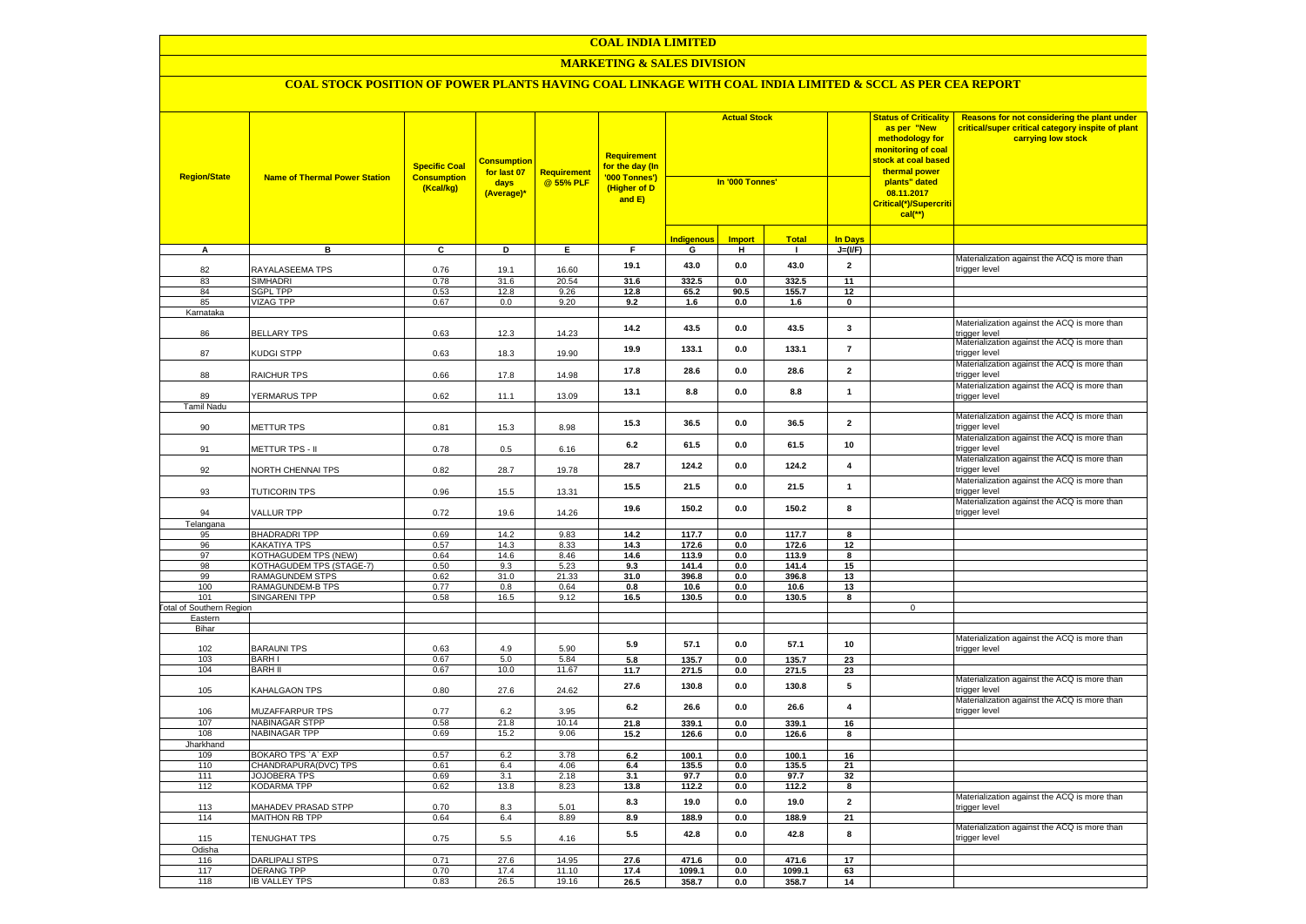#### **MARKETING & SALES DIVISION**

| <b>Region/State</b>             | <b>Name of Thermal Power Station</b>        | <b>Specific Coal</b><br><b>Consumption</b><br>(Kcal/kg) | <b>Consumption</b><br>for last 07<br>days<br>(Average)* | Requirement<br>@ 55% PLF | <b>Requirement</b><br>for the day (In<br>'000 Tonnes')<br>(Higher of D<br>and E) | <b>Actual Stock</b><br>In '000 Tonnes' |               | <b>Status of Criticality</b><br>as per "New<br>methodology for<br>monitoring of coal<br><mark>stock at coal based</mark><br>thermal power<br>plants" dated<br>08.11.2017<br>Critical(*)/Supercriti |                         | Reasons for not considering the plant under<br>critical/super critical category inspite of plant<br>carrying low stock |                                                               |
|---------------------------------|---------------------------------------------|---------------------------------------------------------|---------------------------------------------------------|--------------------------|----------------------------------------------------------------------------------|----------------------------------------|---------------|----------------------------------------------------------------------------------------------------------------------------------------------------------------------------------------------------|-------------------------|------------------------------------------------------------------------------------------------------------------------|---------------------------------------------------------------|
|                                 |                                             |                                                         |                                                         |                          |                                                                                  | <b>Indigenous</b>                      | <b>Import</b> | <b>Total</b>                                                                                                                                                                                       | <b>In Days</b>          |                                                                                                                        |                                                               |
| A                               | в                                           | C                                                       | D                                                       | Е.                       | F.                                                                               | G                                      | н             | $\mathbf{I}$                                                                                                                                                                                       | $J=(VF)$                |                                                                                                                        |                                                               |
| 82                              | RAYALASEEMA TPS                             | 0.76                                                    | 19.1                                                    | 16.60                    | 19.1                                                                             | 43.0                                   | 0.0           | 43.0                                                                                                                                                                                               | $\overline{2}$          |                                                                                                                        | Materialization against the ACQ is more than<br>trigger level |
| 83                              | <b>SIMHADRI</b>                             | 0.78                                                    | 31.6                                                    | 20.54                    | 31.6                                                                             | 332.5                                  | 0.0           | 332.5                                                                                                                                                                                              | 11                      |                                                                                                                        |                                                               |
| 84                              | <b>SGPL TPP</b>                             | 0.53                                                    | 12.8                                                    | 9.26                     | 12.8                                                                             | 65.2                                   | 90.5          | 155.7                                                                                                                                                                                              | 12                      |                                                                                                                        |                                                               |
| 85                              | VIZAG TPP                                   | 0.67                                                    | 0.0                                                     | 9.20                     | 9.2                                                                              | 1.6                                    | 0.0           | 1.6                                                                                                                                                                                                | $\mathbf 0$             |                                                                                                                        |                                                               |
| Karnataka                       |                                             |                                                         |                                                         |                          |                                                                                  |                                        |               |                                                                                                                                                                                                    |                         |                                                                                                                        |                                                               |
| 86                              | <b>BELLARY TPS</b>                          | 0.63                                                    | 12.3                                                    | 14.23                    | 14.2                                                                             | 43.5                                   | 0.0           | 43.5                                                                                                                                                                                               | $\mathbf{3}$            |                                                                                                                        | Materialization against the ACQ is more than<br>rigger level  |
| 87                              | KUDGI STPP                                  | 0.63                                                    | 18.3                                                    | 19.90                    | 19.9                                                                             | 133.1                                  | 0.0           | 133.1                                                                                                                                                                                              | $\overline{7}$          |                                                                                                                        | Materialization against the ACQ is more than<br>trigger level |
| 88                              | RAICHUR TPS                                 | 0.66                                                    | 17.8                                                    | 14.98                    | 17.8                                                                             | 28.6                                   | 0.0           | 28.6                                                                                                                                                                                               | $\overline{2}$          |                                                                                                                        | Materialization against the ACQ is more than<br>trigger level |
| 89                              | YERMARUS TPP                                | 0.62                                                    | 11.1                                                    | 13.09                    | 13.1                                                                             | 8.8                                    | 0.0           | 8.8                                                                                                                                                                                                | $\mathbf{1}$            |                                                                                                                        | Materialization against the ACQ is more than<br>trigger level |
| Tamil Nadu                      |                                             |                                                         |                                                         |                          |                                                                                  |                                        |               |                                                                                                                                                                                                    |                         |                                                                                                                        | Materialization against the ACQ is more than                  |
| 90                              | METTUR TPS                                  | 0.81                                                    | 15.3                                                    | 8.98                     | 15.3                                                                             | 36.5                                   | 0.0           | 36.5                                                                                                                                                                                               | $\overline{\mathbf{2}}$ |                                                                                                                        | trigger level                                                 |
| 91                              | METTUR TPS - II                             | 0.78                                                    | $0.5\,$                                                 | 6.16                     | 6.2                                                                              | 61.5                                   | 0.0           | 61.5                                                                                                                                                                                               | 10                      |                                                                                                                        | Materialization against the ACQ is more than<br>rigger level  |
| 92                              | NORTH CHENNAI TPS                           | 0.82                                                    | 28.7                                                    | 19.78                    | 28.7                                                                             | 124.2                                  | 0.0           | 124.2                                                                                                                                                                                              | $\overline{\mathbf{4}}$ |                                                                                                                        | Materialization against the ACQ is more than<br>rigger level  |
| 93                              | TUTICORIN TPS                               | 0.96                                                    | 15.5                                                    | 13.31                    | 15.5                                                                             | 21.5                                   | 0.0           | 21.5                                                                                                                                                                                               | $\mathbf{1}$            |                                                                                                                        | Materialization against the ACQ is more than<br>rigger level  |
| 94                              | VALLUR TPP                                  | 0.72                                                    | 19.6                                                    | 14.26                    | 19.6                                                                             | 150.2                                  | 0.0           | 150.2                                                                                                                                                                                              | 8                       |                                                                                                                        | Materialization against the ACQ is more than<br>rigger level  |
| Telangana                       |                                             |                                                         |                                                         |                          |                                                                                  |                                        |               |                                                                                                                                                                                                    |                         |                                                                                                                        |                                                               |
| 95                              | <b>BHADRADRI TPP</b>                        | 0.69                                                    | 14.2                                                    | 9.83                     | 14.2                                                                             | 117.7                                  | 0.0           | 117.7                                                                                                                                                                                              | 8                       |                                                                                                                        |                                                               |
| 96                              | <b>KAKATIYA TPS</b>                         | 0.57                                                    | 14.3                                                    | 8.33                     | 14.3                                                                             | 172.6                                  | 0.0           | 172.6                                                                                                                                                                                              | 12                      |                                                                                                                        |                                                               |
| 97<br>98                        | <b>KOTHAGUDEM TPS (NEW)</b>                 | 0.64                                                    | 14.6<br>9.3                                             | 8.46<br>5.23             | 14.6                                                                             | 113.9                                  | 0.0<br>0.0    | 113.9                                                                                                                                                                                              | 8                       |                                                                                                                        |                                                               |
| 99                              | KOTHAGUDEM TPS (STAGE-7)<br>RAMAGUNDEM STPS | 0.50<br>0.62                                            | 31.0                                                    | 21.33                    | 9.3<br>31.0                                                                      | 141.4<br>396.8                         | 0.0           | 141.4<br>396.8                                                                                                                                                                                     | 15<br>13                |                                                                                                                        |                                                               |
| 100                             | RAMAGUNDEM-B TPS                            | 0.77                                                    | 0.8                                                     | 0.64                     | 0.8                                                                              | 10.6                                   | 0.0           | 10.6                                                                                                                                                                                               | 13                      |                                                                                                                        |                                                               |
| 101                             | SINGARENI TPP                               | 0.58                                                    | 16.5                                                    | 9.12                     | 16.5                                                                             | 130.5                                  | 0.0           | 130.5                                                                                                                                                                                              | 8                       |                                                                                                                        |                                                               |
| <b>Fotal of Southern Region</b> |                                             |                                                         |                                                         |                          |                                                                                  |                                        |               |                                                                                                                                                                                                    |                         | $\mathsf{O}\xspace$                                                                                                    |                                                               |
| Eastern                         |                                             |                                                         |                                                         |                          |                                                                                  |                                        |               |                                                                                                                                                                                                    |                         |                                                                                                                        |                                                               |
| Bihar                           |                                             |                                                         |                                                         |                          |                                                                                  |                                        |               |                                                                                                                                                                                                    |                         |                                                                                                                        |                                                               |
| 102                             | <b>BARAUNI TPS</b>                          | 0.63                                                    | 4.9                                                     | 5.90                     | 5.9                                                                              | 57.1                                   | 0.0           | 57.1                                                                                                                                                                                               | 10                      |                                                                                                                        | Materialization against the ACQ is more than<br>trigger level |
| 103                             | <b>BARHI</b>                                | 0.67                                                    | $5.0\,$                                                 | 5.84                     | 5.8                                                                              | 135.7                                  | 0.0           | 135.7                                                                                                                                                                                              | 23                      |                                                                                                                        |                                                               |
| 104                             | <b>BARH II</b>                              | 0.67                                                    | 10.0                                                    | 11.67                    | 11.7                                                                             | 271.5                                  | 0.0           | 271.5                                                                                                                                                                                              | 23                      |                                                                                                                        |                                                               |
| 105                             | <b>KAHALGAON TPS</b>                        | 0.80                                                    | 27.6                                                    | 24.62                    | 27.6                                                                             | 130.8                                  | 0.0           | 130.8                                                                                                                                                                                              | $5\phantom{.0}$         |                                                                                                                        | Materialization against the ACQ is more than<br>rigger level  |
| 106                             | <b>MUZAFFARPUR TPS</b>                      | 0.77                                                    | 6.2                                                     | 3.95                     | 6.2                                                                              | 26.6                                   | 0.0           | 26.6                                                                                                                                                                                               | $\overline{\mathbf{4}}$ |                                                                                                                        | Materialization against the ACQ is more than<br>rigger level  |
| 107                             | NABINAGAR STPP                              | 0.58                                                    | 21.8                                                    | 10.14                    | 21.8                                                                             | 339.1                                  | 0.0           | 339.1                                                                                                                                                                                              | 16                      |                                                                                                                        |                                                               |
| 108                             | NABINAGAR TPP                               | 0.69                                                    | 15.2                                                    | 9.06                     | 15.2                                                                             | 126.6                                  | 0.0           | 126.6                                                                                                                                                                                              | 8                       |                                                                                                                        |                                                               |
| Jharkhand<br>109                | BOKARO TPS 'A' EXP                          | 0.57                                                    | 6.2                                                     | 3.78                     | 6.2                                                                              | 100.1                                  | 0.0           | 100.1                                                                                                                                                                                              | 16                      |                                                                                                                        |                                                               |
| 110                             | CHANDRAPURA(DVC) TPS                        | 0.61                                                    | 6.4                                                     | 4.06                     | 6.4                                                                              | 135.5                                  | 0.0           | 135.5                                                                                                                                                                                              | 21                      |                                                                                                                        |                                                               |
| 111                             | JOJOBERA TPS                                | 0.69                                                    | 3.1                                                     | 2.18                     | 3.1                                                                              | 97.7                                   | 0.0           | 97.7                                                                                                                                                                                               | 32                      |                                                                                                                        |                                                               |
| 112                             | KODARMA TPP                                 | 0.62                                                    | 13.8                                                    | 8.23                     | 13.8                                                                             | 112.2                                  | 0.0           | 112.2                                                                                                                                                                                              | 8                       |                                                                                                                        |                                                               |
| 113                             | <b>MAHADEV PRASAD STPP</b>                  | 0.70                                                    | 8.3                                                     | 5.01                     | 8.3                                                                              | 19.0                                   | 0.0           | 19.0                                                                                                                                                                                               | $\overline{2}$          |                                                                                                                        | Materialization against the ACQ is more than<br>rigger level  |
| 114                             | MAITHON RB TPP                              | 0.64                                                    | 6.4                                                     | 8.89                     | 8.9                                                                              | 188.9                                  | 0.0           | 188.9                                                                                                                                                                                              | 21                      |                                                                                                                        |                                                               |
| 115                             | TENUGHAT TPS                                | 0.75                                                    | 5.5                                                     | 4.16                     | 5.5                                                                              | 42.8                                   | 0.0           | 42.8                                                                                                                                                                                               | 8                       |                                                                                                                        | Materialization against the ACQ is more than<br>trigger level |
| Odisha                          |                                             |                                                         |                                                         |                          |                                                                                  |                                        |               |                                                                                                                                                                                                    |                         |                                                                                                                        |                                                               |
| 116                             | <b>DARLIPALI STPS</b>                       | 0.71                                                    | 27.6                                                    | 14.95                    | 27.6                                                                             | 471.6                                  | 0.0           | 471.6                                                                                                                                                                                              | 17                      |                                                                                                                        |                                                               |
| 117                             | <b>DERANG TPP</b>                           | 0.70                                                    | 17.4                                                    | 11.10                    | 17.4                                                                             | 1099.1                                 | 0.0           | 1099.1                                                                                                                                                                                             | 63                      |                                                                                                                        |                                                               |
| 118                             | <b>IB VALLEY TPS</b>                        | 0.83                                                    | 26.5                                                    | 19.16                    | 26.5                                                                             | 358.7                                  | 0.0           | 358.7                                                                                                                                                                                              | 14                      |                                                                                                                        |                                                               |